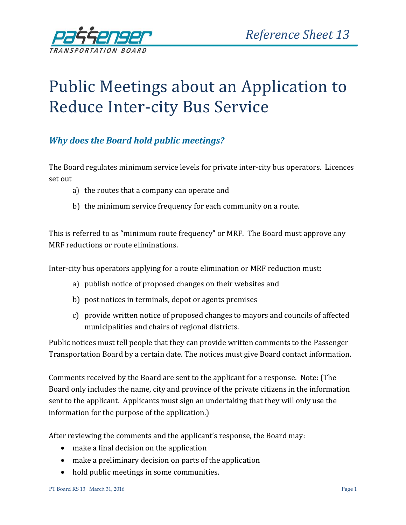

# Public Meetings about an Application to Reduce Inter-city Bus Service

### *Why does the Board hold public meetings?*

The Board regulates minimum service levels for private inter-city bus operators. Licences set out

- a) the routes that a company can operate and
- b) the minimum service frequency for each community on a route.

This is referred to as "minimum route frequency" or MRF. The Board must approve any MRF reductions or route eliminations.

Inter-city bus operators applying for a route elimination or MRF reduction must:

- a) publish notice of proposed changes on their websites and
- b) post notices in terminals, depot or agents premises
- c) provide written notice of proposed changes to mayors and councils of affected municipalities and chairs of regional districts.

Public notices must tell people that they can provide written comments to the Passenger Transportation Board by a certain date. The notices must give Board contact information.

Comments received by the Board are sent to the applicant for a response. Note: (The Board only includes the name, city and province of the private citizens in the information sent to the applicant. Applicants must sign an undertaking that they will only use the information for the purpose of the application.)

After reviewing the comments and the applicant's response, the Board may:

- make a final decision on the application
- make a preliminary decision on parts of the application
- hold public meetings in some communities.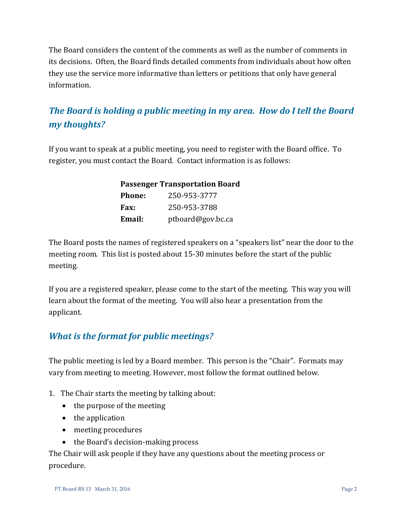The Board considers the content of the comments as well as the number of comments in its decisions. Often, the Board finds detailed comments from individuals about how often they use the service more informative than letters or petitions that only have general information.

## *The Board is holding a public meeting in my area. How do I tell the Board my thoughts?*

If you want to speak at a public meeting, you need to register with the Board office. To register, you must contact the Board. Contact information is as follows:

| <b>Passenger Transportation Board</b> |                   |
|---------------------------------------|-------------------|
| <b>Phone:</b>                         | 250-953-3777      |
| Fax:                                  | 250-953-3788      |
| Email:                                | ptboard@gov.bc.ca |

The Board posts the names of registered speakers on a "speakers list" near the door to the meeting room. This list is posted about 15-30 minutes before the start of the public meeting.

If you are a registered speaker, please come to the start of the meeting. This way you will learn about the format of the meeting. You will also hear a presentation from the applicant.

#### *What is the format for public meetings?*

The public meeting is led by a Board member. This person is the "Chair". Formats may vary from meeting to meeting. However, most follow the format outlined below.

- 1. The Chair starts the meeting by talking about:
	- the purpose of the meeting
	- $\bullet$  the application
	- meeting procedures
	- the Board's decision-making process

The Chair will ask people if they have any questions about the meeting process or procedure.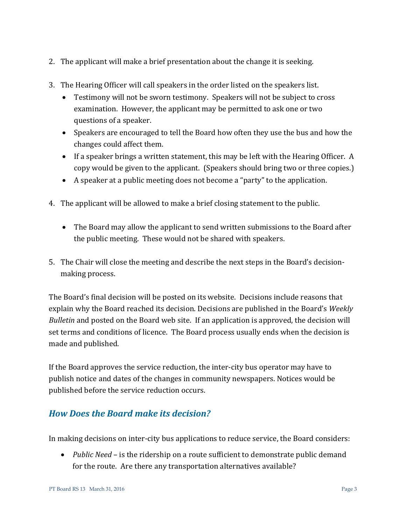- 2. The applicant will make a brief presentation about the change it is seeking.
- 3. The Hearing Officer will call speakers in the order listed on the speakers list.
	- Testimony will not be sworn testimony. Speakers will not be subject to cross examination. However, the applicant may be permitted to ask one or two questions of a speaker.
	- Speakers are encouraged to tell the Board how often they use the bus and how the changes could affect them.
	- If a speaker brings a written statement, this may be left with the Hearing Officer. A copy would be given to the applicant. (Speakers should bring two or three copies.)
	- A speaker at a public meeting does not become a "party" to the application.
- 4. The applicant will be allowed to make a brief closing statement to the public.
	- The Board may allow the applicant to send written submissions to the Board after the public meeting. These would not be shared with speakers.
- 5. The Chair will close the meeting and describe the next steps in the Board's decisionmaking process.

The Board's final decision will be posted on its website. Decisions include reasons that explain why the Board reached its decision. Decisions are published in the Board's *Weekly Bulletin* and posted on the Board [web site.](http://www.th.gov.bc.ca/ptb/bulletins.htm) If an application is approved, the decision will set terms and conditions of licence. The Board process usually ends when the decision is made and published.

If the Board approves the service reduction, the inter-city bus operator may have to publish notice and dates of the changes in community newspapers. Notices would be published before the service reduction occurs.

#### *How Does the Board make its decision?*

In making decisions on inter-city bus applications to reduce service, the Board considers:

 *Public Need* – is the ridership on a route sufficient to demonstrate public demand for the route. Are there any transportation alternatives available?